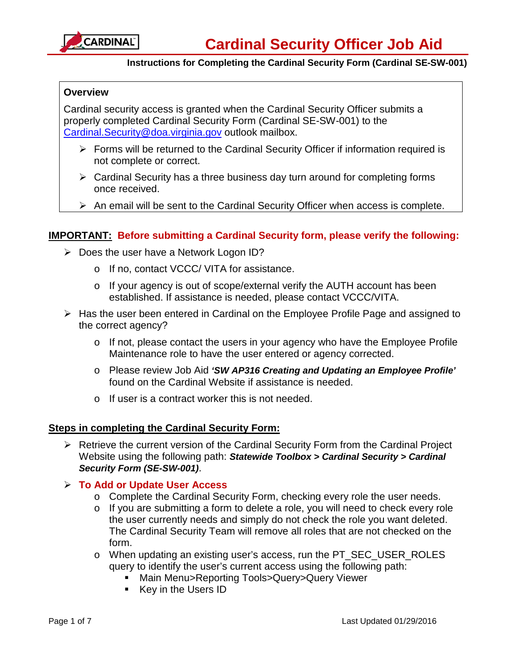

# **Overview**

Cardinal security access is granted when the Cardinal Security Officer submits a properly completed Cardinal Security Form (Cardinal SE-SW-001) to the [Cardinal.Security@doa.virginia.gov](mailto:Cardinal.Security@doa.virginia.gov) outlook mailbox.

- $\triangleright$  Forms will be returned to the Cardinal Security Officer if information required is not complete or correct.
- $\triangleright$  Cardinal Security has a three business day turn around for completing forms once received.
- $\triangleright$  An email will be sent to the Cardinal Security Officer when access is complete.

# **IMPORTANT: Before submitting a Cardinal Security form, please verify the following:**

- $\triangleright$  Does the user have a Network Logon ID?
	- o If no, contact VCCC/ VITA for assistance.
	- o If your agency is out of scope/external verify the AUTH account has been established. If assistance is needed, please contact VCCC/VITA.
- $\triangleright$  Has the user been entered in Cardinal on the Employee Profile Page and assigned to the correct agency?
	- o If not, please contact the users in your agency who have the Employee Profile Maintenance role to have the user entered or agency corrected.
	- o Please review Job Aid *'SW AP316 Creating and Updating an Employee Profile'* found on the Cardinal Website if assistance is needed.
	- o If user is a contract worker this is not needed.

### **Steps in completing the Cardinal Security Form:**

 $\triangleright$  Retrieve the current version of the Cardinal Security Form from the Cardinal Project Website using the following path: *Statewide Toolbox > Cardinal Security > Cardinal Security Form (SE-SW-001)*.

### **To Add or Update User Access**

- o Complete the Cardinal Security Form, checking every role the user needs.
- o If you are submitting a form to delete a role, you will need to check every role the user currently needs and simply do not check the role you want deleted. The Cardinal Security Team will remove all roles that are not checked on the form.
- o When updating an existing user's access, run the PT\_SEC\_USER\_ROLES query to identify the user's current access using the following path:
	- Main Menu>Reporting Tools>Query>Query Viewer
	- Key in the Users ID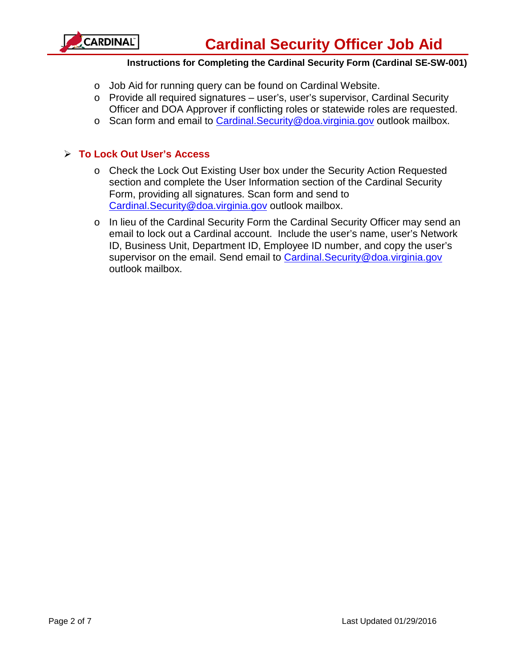

- o Job Aid for running query can be found on Cardinal Website.
- o Provide all required signatures user's, user's supervisor, Cardinal Security Officer and DOA Approver if conflicting roles or statewide roles are requested.
- o Scan form and email to [Cardinal.Security@doa.virginia.gov](mailto:Cardinal.Security@doa.virginia.gov) outlook mailbox.

# **To Lock Out User's Access**

- o Check the Lock Out Existing User box under the Security Action Requested section and complete the User Information section of the Cardinal Security Form, providing all signatures. Scan form and send to [Cardinal.Security@doa.virginia.gov](mailto:Cardinal.Security@doa.virginia.gov) outlook mailbox.
- o In lieu of the Cardinal Security Form the Cardinal Security Officer may send an email to lock out a Cardinal account. Include the user's name, user's Network ID, Business Unit, Department ID, Employee ID number, and copy the user's supervisor on the email. Send email to Cardinal. Security@doa.virginia.gov outlook mailbox.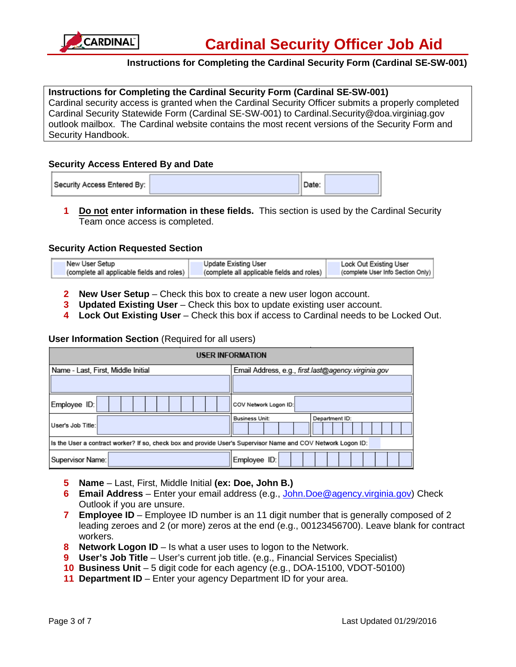

#### **Instructions for Completing the Cardinal Security Form (Cardinal SE-SW-001)**

Cardinal security access is granted when the Cardinal Security Officer submits a properly completed Cardinal Security Statewide Form (Cardinal SE-SW-001) to Cardinal.Security@doa.virginiag.gov outlook mailbox. The Cardinal website contains the most recent versions of the Security Form and Security Handbook.

#### **Security Access Entered By and Date**

| Security Access Entered By: |  | Date: |  |
|-----------------------------|--|-------|--|
|-----------------------------|--|-------|--|

**1 Do not enter information in these fields.** This section is used by the Cardinal Security Team once access is completed.

#### **Security Action Requested Section**

| New User Setup                             | Update Existing User                       | Lock Out Existing User            |
|--------------------------------------------|--------------------------------------------|-----------------------------------|
| (complete all applicable fields and roles) | (complete all applicable fields and roles) | (complete User Info Section Only) |

- **2 New User Setup** Check this box to create a new user logon account.
- **3 Updated Existing User** Check this box to update existing user account.
- **4 Lock Out Existing User** Check this box if access to Cardinal needs to be Locked Out.

#### **User Information Section** (Required for all users)

| <b>USER INFORMATION</b>                                                                                      |                                                     |  |  |  |  |
|--------------------------------------------------------------------------------------------------------------|-----------------------------------------------------|--|--|--|--|
| Name - Last, First, Middle Initial                                                                           | Email Address, e.g., first.last@agency.virginia.gov |  |  |  |  |
|                                                                                                              |                                                     |  |  |  |  |
| Employee ID:                                                                                                 | COV Network Logon ID:                               |  |  |  |  |
| User's Job Title:                                                                                            | Business Unit:<br>Department ID:                    |  |  |  |  |
| Is the User a contract worker? If so, check box and provide User's Supervisor Name and COV Network Logon ID: |                                                     |  |  |  |  |
| Supervisor Name:<br>Employee ID:                                                                             |                                                     |  |  |  |  |

- **5 Name** Last, First, Middle Initial **(ex: Doe, John B.)**
- **6 Email Address** Enter your email address (e.g., [John.Doe@agency.virginia.gov\)](mailto:John.Doe@agency.virginia.gov) Check Outlook if you are unsure.
- **7 Employee ID** Employee ID number is an 11 digit number that is generally composed of 2 leading zeroes and 2 (or more) zeros at the end (e.g., 00123456700). Leave blank for contract workers.
- **8 Network Logon ID**  Is what a user uses to logon to the Network.
- **9 User's Job Title** User's current job title. (e.g., Financial Services Specialist)
- **10 Business Unit**  5 digit code for each agency (e.g., DOA-15100, VDOT-50100)
- **11 Department ID** Enter your agency Department ID for your area.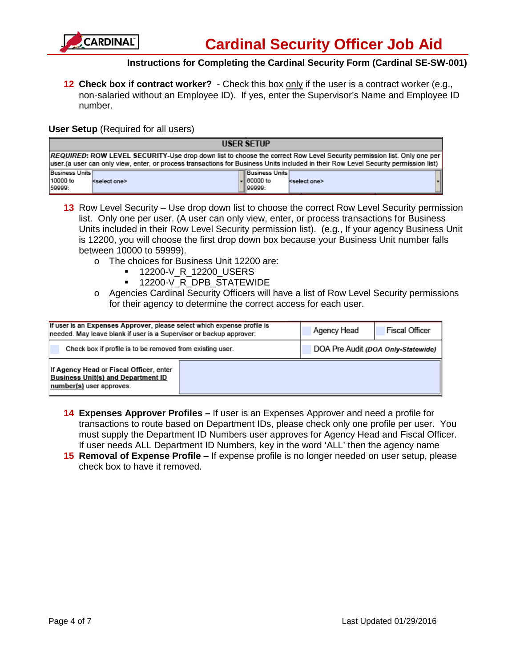

**12 Check box if contract worker?** - Check this box only if the user is a contract worker (e.g., non-salaried without an Employee ID). If yes, enter the Supervisor's Name and Employee ID number.

#### **User Setup** (Required for all users)

| <b>USER SETUP</b>                                                                                                                                                                                                                                             |                          |  |                                                          |                          |  |  |
|---------------------------------------------------------------------------------------------------------------------------------------------------------------------------------------------------------------------------------------------------------------|--------------------------|--|----------------------------------------------------------|--------------------------|--|--|
| REQUIRED: ROW LEVEL SECURITY-Use drop down list to choose the correct Row Level Security permission list. Only one per<br>user (a user can only view, enter, or process transactions for Business Units included in their Row Level Security permission list) |                          |  |                                                          |                          |  |  |
| Business Units<br>10000 to<br>59999:                                                                                                                                                                                                                          | <select one=""></select> |  | TIBusiness Units Í<br>$\overline{=}$ 60000 to<br>199999: | <select one=""></select> |  |  |

- 13 Row Level Security Use drop down list to choose the correct Row Level Security permission list. Only one per user. (A user can only view, enter, or process transactions for Business Units included in their Row Level Security permission list). (e.g., If your agency Business Unit is 12200, you will choose the first drop down box because your Business Unit number falls between 10000 to 59999).
	- o The choices for Business Unit 12200 are:
		- 12200-V\_R\_12200\_USERS
		- **12200-V\_R\_DPB\_STATEWIDE**
	- o Agencies Cardinal Security Officers will have a list of Row Level Security permissions for their agency to determine the correct access for each user.

| If user is an Expenses Approver, please select which expense profile is<br>needed. May leave blank if user is a Supervisor or backup approver: | Agency Head | <b>Fiscal Officer</b>              |  |  |
|------------------------------------------------------------------------------------------------------------------------------------------------|-------------|------------------------------------|--|--|
| Check box if profile is to be removed from existing user.                                                                                      |             | DOA Pre Audit (DOA Only-Statewide) |  |  |
| If Agency Head or Fiscal Officer, enter<br><b>Business Unit(s) and Department ID</b><br>number(s) user approves.                               |             |                                    |  |  |

- **14 Expenses Approver Profiles –** If user is an Expenses Approver and need a profile for transactions to route based on Department IDs, please check only one profile per user. You must supply the Department ID Numbers user approves for Agency Head and Fiscal Officer. If user needs ALL Department ID Numbers, key in the word 'ALL' then the agency name
- **15 Removal of Expense Profile** If expense profile is no longer needed on user setup, please check box to have it removed.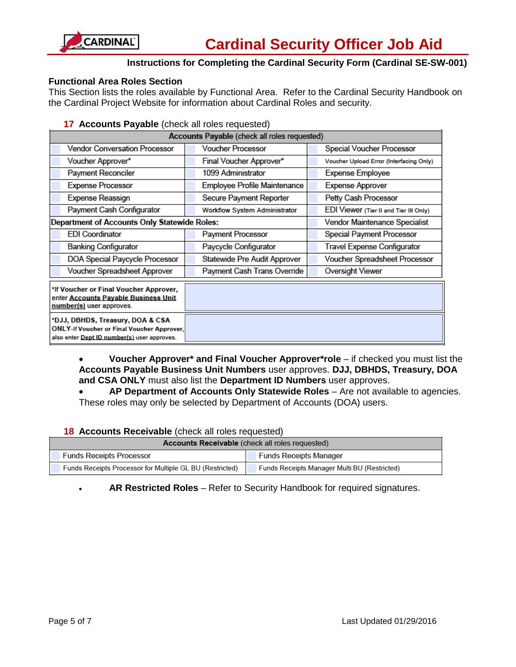

#### **Functional Area Roles Section**

This Section lists the roles available by Functional Area. Refer to the Cardinal Security Handbook on the Cardinal Project Website for information about Cardinal Roles and security.

#### **17 Accounts Payable** (check all roles requested)

| Accounts Payable (check all roles requested)                                                                                  |                               |                                         |  |  |  |
|-------------------------------------------------------------------------------------------------------------------------------|-------------------------------|-----------------------------------------|--|--|--|
| <b>Vendor Conversation Processor</b>                                                                                          | <b>Voucher Processor</b>      | Special Voucher Processor               |  |  |  |
| Voucher Approver*                                                                                                             | Final Voucher Approver*       | Voucher Upload Error (Interfacing Only) |  |  |  |
| Payment Reconciler                                                                                                            | 1099 Administrator            | Expense Employee                        |  |  |  |
| <b>Expense Processor</b>                                                                                                      | Employee Profile Maintenance  | Expense Approver                        |  |  |  |
| Expense Reassign                                                                                                              | Secure Payment Reporter       | Petty Cash Processor                    |  |  |  |
| Payment Cash Configurator                                                                                                     | Workflow System Administrator | EDI Viewer (Tier II and Tier III Only)  |  |  |  |
| Department of Accounts Only Statewide Roles:                                                                                  |                               | Vendor Maintenance Specialist           |  |  |  |
| <b>EDI Coordinator</b>                                                                                                        | Payment Processor             | Special Payment Processor               |  |  |  |
| <b>Banking Configurator</b>                                                                                                   | Paycycle Configurator         | Travel Expense Configurator             |  |  |  |
| DOA Special Paycycle Processor                                                                                                | Statewide Pre Audit Approver  | Voucher Spreadsheet Processor           |  |  |  |
| Voucher Spreadsheet Approver                                                                                                  | Payment Cash Trans Override   | Oversight Viewer                        |  |  |  |
| *If Voucher or Final Voucher Approver,<br>enter Accounts Payable Business Unit<br>number(s) user approves.                    |                               |                                         |  |  |  |
| *DJJ, DBHDS, Treasury, DOA & CSA<br>ONLY-If Voucher or Final Voucher Approver,<br>also enter Dept ID number(s) user approves. |                               |                                         |  |  |  |

• **Voucher Approver\* and Final Voucher Approver\*role** – if checked you must list the **Accounts Payable Business Unit Numbers** user approves. **DJJ, DBHDS, Treasury, DOA and CSA ONLY** must also list the **Department ID Numbers** user approves.

• **AP Department of Accounts Only Statewide Roles** – Are not available to agencies. These roles may only be selected by Department of Accounts (DOA) users.

#### **18 Accounts Receivable** (check all roles requested)

| Accounts Receivable (check all roles requested)          |                                              |  |  |  |
|----------------------------------------------------------|----------------------------------------------|--|--|--|
| <b>Funds Receipts Processor</b>                          | <b>Funds Receipts Manager</b>                |  |  |  |
| Funds Receipts Processor for Multiple GL BU (Restricted) | Funds Receipts Manager Multi BU (Restricted) |  |  |  |

• **AR Restricted Roles** – Refer to Security Handbook for required signatures.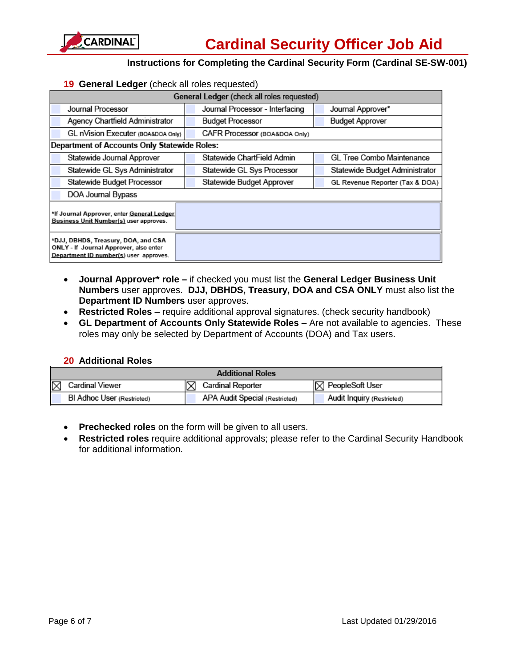

#### **19 General Ledger** (check all roles requested)

| General Ledger (check all roles requested)                                                                              |                                 |                                 |  |  |  |
|-------------------------------------------------------------------------------------------------------------------------|---------------------------------|---------------------------------|--|--|--|
| Journal Processor                                                                                                       | Journal Processor - Interfacing | Journal Approver*               |  |  |  |
| Agency Chartfield Administrator                                                                                         | <b>Budget Processor</b>         | <b>Budget Approver</b>          |  |  |  |
| GL nVision Executer (BOA&DOA Only)                                                                                      | CAFR Processor (BOA&DOA Only)   |                                 |  |  |  |
| Department of Accounts Only Statewide Roles:                                                                            |                                 |                                 |  |  |  |
| Statewide Journal Approver                                                                                              | Statewide ChartField Admin      | GL Tree Combo Maintenance       |  |  |  |
| Statewide GL Sys Administrator                                                                                          | Statewide GL Sys Processor      | Statewide Budget Administrator  |  |  |  |
| Statewide Budget Processor                                                                                              | Statewide Budget Approver       | GL Revenue Reporter (Tax & DOA) |  |  |  |
| DOA Journal Bypass                                                                                                      |                                 |                                 |  |  |  |
| *If Journal Approver, enter General Ledger<br>Business Unit Number(s) user approves.                                    |                                 |                                 |  |  |  |
| *DJJ, DBHDS, Treasury, DOA, and CSA<br>ONLY - If Journal Approver, also enter<br>Department ID number(s) user approves. |                                 |                                 |  |  |  |

- **Journal Approver\* role –** if checked you must list the **General Ledger Business Unit Numbers** user approves. **DJJ, DBHDS, Treasury, DOA and CSA ONLY** must also list the **Department ID Numbers** user approves.
- **Restricted Roles** require additional approval signatures. (check security handbook)
- **GL Department of Accounts Only Statewide Roles** Are not available to agencies. These roles may only be selected by Department of Accounts (DOA) and Tax users.

#### **20 Additional Roles**

| <b>Additional Roles</b>    |  |                                |  |                            |
|----------------------------|--|--------------------------------|--|----------------------------|
| Cardinal Viewer            |  | Cardinal Reporter              |  | <b>X</b> PeopleSoft User   |
| BI Adhoc User (Restricted) |  | APA Audit Special (Restricted) |  | Audit Inquiry (Restricted) |

- **Prechecked roles** on the form will be given to all users.
- **Restricted roles** require additional approvals; please refer to the Cardinal Security Handbook for additional information.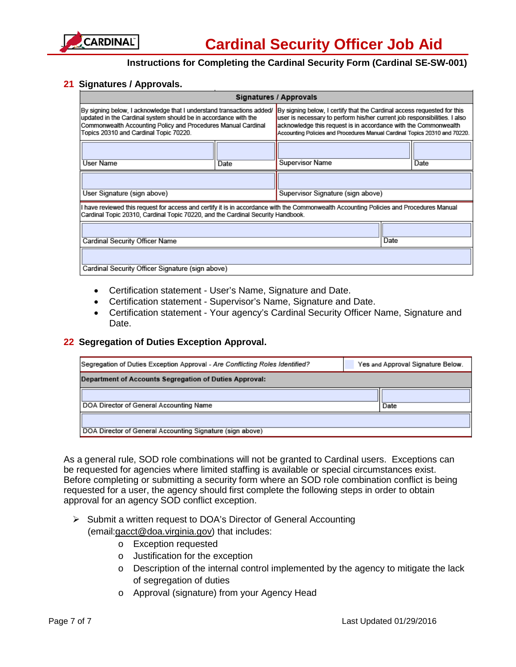

#### **21 Signatures / Approvals.**

| Signatures / Approvals                                                                                                                                                                                                                              |  |                                                                                                                                                                                                                                                                                                       |      |  |  |
|-----------------------------------------------------------------------------------------------------------------------------------------------------------------------------------------------------------------------------------------------------|--|-------------------------------------------------------------------------------------------------------------------------------------------------------------------------------------------------------------------------------------------------------------------------------------------------------|------|--|--|
| By signing below, I acknowledge that I understand transactions added/<br>updated in the Cardinal system should be in accordance with the<br>Commonwealth Accounting Policy and Procedures Manual Cardinal<br>Topics 20310 and Cardinal Topic 70220. |  | By signing below, I certify that the Cardinal access requested for this<br>user is necessary to perform his/her current job responsibilities. I also<br>acknowledge this request is in accordance with the Commonwealth<br>Accounting Policies and Procedures Manual Cardinal Topics 20310 and 70220. |      |  |  |
| User Name<br>Date                                                                                                                                                                                                                                   |  | <b>Supervisor Name</b>                                                                                                                                                                                                                                                                                | Date |  |  |
| User Signature (sign above)                                                                                                                                                                                                                         |  | Supervisor Signature (sign above)                                                                                                                                                                                                                                                                     |      |  |  |
| I have reviewed this request for access and certify it is in accordance with the Commonwealth Accounting Policies and Procedures Manual<br>Cardinal Topic 20310, Cardinal Topic 70220, and the Cardinal Security Handbook.                          |  |                                                                                                                                                                                                                                                                                                       |      |  |  |
| Cardinal Security Officer Name                                                                                                                                                                                                                      |  | Date                                                                                                                                                                                                                                                                                                  |      |  |  |
| Cardinal Security Officer Signature (sign above)                                                                                                                                                                                                    |  |                                                                                                                                                                                                                                                                                                       |      |  |  |

- Certification statement User's Name, Signature and Date.
- Certification statement Supervisor's Name, Signature and Date.
- Certification statement Your agency's Cardinal Security Officer Name, Signature and Date.

#### **22 Segregation of Duties Exception Approval.**

| Segregation of Duties Exception Approval - Are Conflicting Roles Identified? |      | Yes and Approval Signature Below. |  |  |  |
|------------------------------------------------------------------------------|------|-----------------------------------|--|--|--|
| Department of Accounts Segregation of Duties Approval:                       |      |                                   |  |  |  |
| DOA Director of General Accounting Name                                      | Date |                                   |  |  |  |
| DOA Director of General Accounting Signature (sign above)                    |      |                                   |  |  |  |

As a general rule, SOD role combinations will not be granted to Cardinal users. Exceptions can be requested for agencies where limited staffing is available or special circumstances exist. Before completing or submitting a security form where an SOD role combination conflict is being requested for a user, the agency should first complete the following steps in order to obtain approval for an agency SOD conflict exception.

- $\triangleright$  Submit a written request to DOA's Director of General Accounting (email[:gacct@doa.virginia.gov\)](mailto:gacct@doa.virginia.gov) that includes:
	- o Exception requested
	- o Justification for the exception
	- o Description of the internal control implemented by the agency to mitigate the lack of segregation of duties
	- o Approval (signature) from your Agency Head